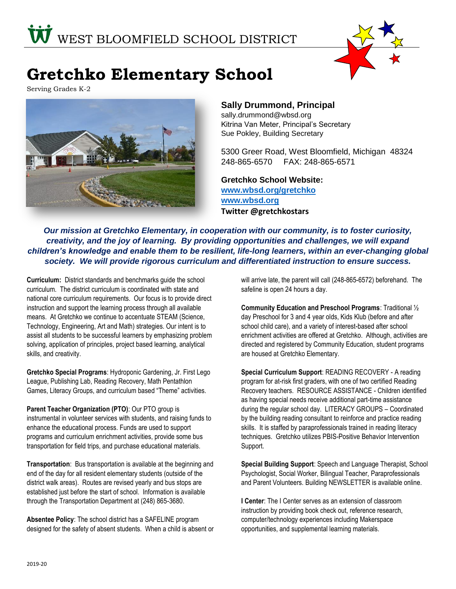

# **Gretchko Elementary School**

Serving Grades K-2



## **Sally Drummond, Principal**

sally.drummond@wbsd.org Kitrina Van Meter, Principal's Secretary Sue Pokley, Building Secretary

5300 Greer Road, West Bloomfield, Michigan 48324 248-865-6570 FAX: 248-865-6571

**Gretchko School Website: [www.wbsd.org/gretchko](http://www.wbsd.org/gretchko) [www.wbsd.org](file:///C:/Users/WBFZAJACP/Documents/Kindergarten/Kindroundup/REVISEDPROFILES%20FOR%20KR%20FOLDERS/www.wbsd.org) Twitter @gretchkostars**

*Our mission at Gretchko Elementary, in cooperation with our community, is to foster curiosity, creativity, and the joy of learning. By providing opportunities and challenges, we will expand children's knowledge and enable them to be resilient, life-long learners, within an ever-changing global society. We will provide rigorous curriculum and differentiated instruction to ensure success.*

**Curriculum:** District standards and benchmarks guide the school curriculum. The district curriculum is coordinated with state and national core curriculum requirements. Our focus is to provide direct instruction and support the learning process through all available means. At Gretchko we continue to accentuate STEAM (Science, Technology, Engineering, Art and Math) strategies. Our intent is to assist all students to be successful learners by emphasizing problem solving, application of principles, project based learning, analytical skills, and creativity.

**Gretchko Special Programs**: Hydroponic Gardening, Jr. First Lego League, Publishing Lab, Reading Recovery, Math Pentathlon Games, Literacy Groups, and curriculum based "Theme" activities.

**Parent Teacher Organization (PTO)**: Our PTO group is instrumental in volunteer services with students, and raising funds to enhance the educational process. Funds are used to support programs and curriculum enrichment activities, provide some bus transportation for field trips, and purchase educational materials.

**Transportation**: Bus transportation is available at the beginning and end of the day for all resident elementary students (outside of the district walk areas). Routes are revised yearly and bus stops are established just before the start of school. Information is available through the Transportation Department at (248) 865-3680.

**Absentee Policy**: The school district has a SAFELINE program designed for the safety of absent students. When a child is absent or will arrive late, the parent will call (248-865-6572) beforehand. The safeline is open 24 hours a day.

**Community Education and Preschool Programs**: Traditional ½ day Preschool for 3 and 4 year olds, Kids Klub (before and after school child care), and a variety of interest-based after school enrichment activities are offered at Gretchko. Although, activities are directed and registered by Community Education, student programs are housed at Gretchko Elementary.

**Special Curriculum Support**: READING RECOVERY - A reading program for at-risk first graders, with one of two certified Reading Recovery teachers. RESOURCE ASSISTANCE - Children identified as having special needs receive additional part-time assistance during the regular school day. LITERACY GROUPS – Coordinated by the building reading consultant to reinforce and practice reading skills. It is staffed by paraprofessionals trained in reading literacy techniques. Gretchko utilizes PBIS-Positive Behavior Intervention Support.

**Special Building Support**: Speech and Language Therapist, School Psychologist, Social Worker, Bilingual Teacher, Paraprofessionals and Parent Volunteers. Building NEWSLETTER is available online.

**I Center**: The I Center serves as an extension of classroom instruction by providing book check out, reference research, computer/technology experiences including Makerspace opportunities, and supplemental learning materials.